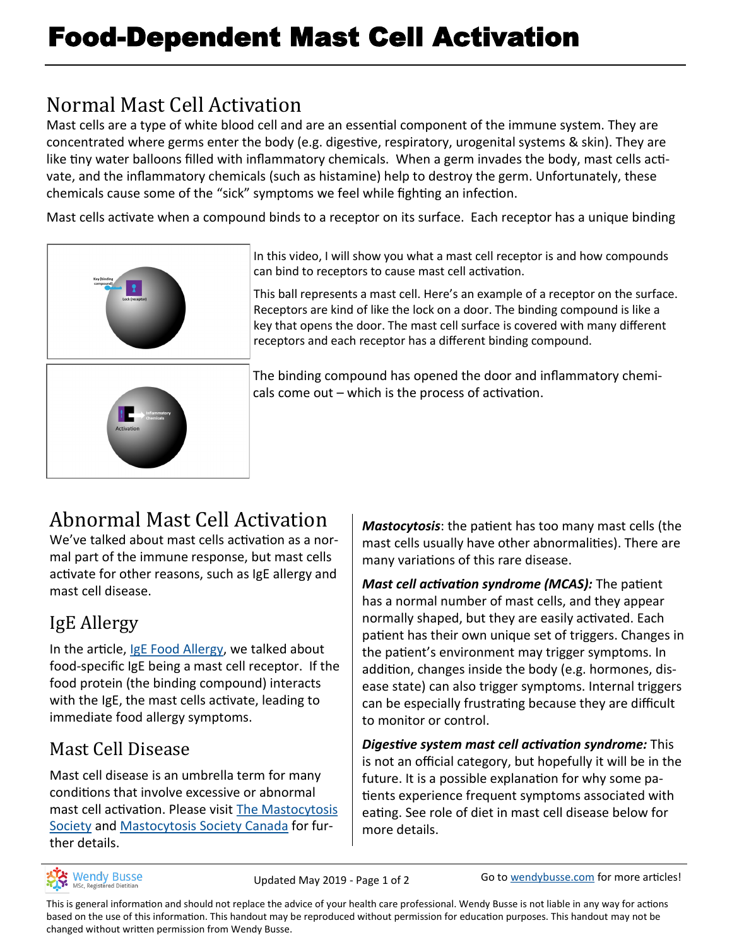## Normal Mast Cell Activation

Mast cells are a type of white blood cell and are an essential component of the immune system. They are concentrated where germs enter the body (e.g. digestive, respiratory, urogenital systems & skin). They are like tiny water balloons filled with inflammatory chemicals. When a germ invades the body, mast cells activate, and the inflammatory chemicals (such as histamine) help to destroy the germ. Unfortunately, these chemicals cause some of the "sick" symptoms we feel while fighting an infection.

Mast cells activate when a compound binds to a receptor on its surface. Each receptor has a unique binding





In this video, I will show you what a mast cell receptor is and how compounds can bind to receptors to cause mast cell activation.

This ball represents a mast cell. Here's an example of a receptor on the surface. Receptors are kind of like the lock on a door. The binding compound is like a key that opens the door. The mast cell surface is covered with many different receptors and each receptor has a different binding compound.

The binding compound has opened the door and inflammatory chemicals come out – which is the process of activation.

# Abnormal Mast Cell Activation

We've talked about mast cells activation as a normal part of the immune response, but mast cells activate for other reasons, such as IgE allergy and mast cell disease.

## IgE Allergy

In the article, [IgE Food Allergy,](https://wendybusse.com/ige-food-allergy/) we talked about food-specific IgE being a mast cell receptor. If the food protein (the binding compound) interacts with the IgE, the mast cells activate, leading to immediate food allergy symptoms.

### Mast Cell Disease

Mast cell disease is an umbrella term for many conditions that involve excessive or abnormal mast cell activation. Please visit [The Mastocytosis](https://tmsforacure.org/)  [Society](https://tmsforacure.org/) and [Mastocytosis Society Canada](https://www.mastocytosis.ca/en/) for further details.

*Mastocytosis*: the patient has too many mast cells (the mast cells usually have other abnormalities). There are many variations of this rare disease.

*Mast cell activation syndrome (MCAS):* The patient has a normal number of mast cells, and they appear normally shaped, but they are easily activated. Each patient has their own unique set of triggers. Changes in the patient's environment may trigger symptoms. In addition, changes inside the body (e.g. hormones, disease state) can also trigger symptoms. Internal triggers can be especially frustrating because they are difficult to monitor or control.

*Digestive system mast cell activation syndrome:* This is not an official category, but hopefully it will be in the future. It is a possible explanation for why some patients experience frequent symptoms associated with eating. See role of diet in mast cell disease below for more details.



Updated May 2019 - Page 1 of 2 Go to [wendybusse.com](http://www.wendybusse.com/) for more articles!

This is general information and should not replace the advice of your health care professional. Wendy Busse is not liable in any way for actions based on the use of this information. This handout may be reproduced without permission for education purposes. This handout may not be changed without written permission from Wendy Busse.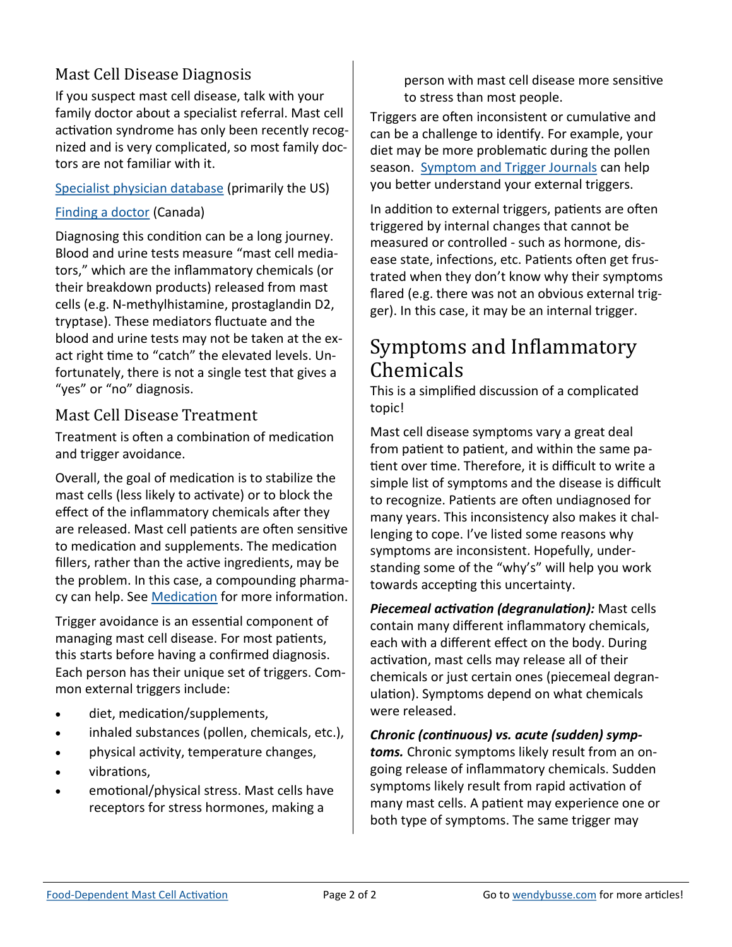### Mast Cell Disease Diagnosis

If you suspect mast cell disease, talk with your family doctor about a specialist referral. Mast cell activation syndrome has only been recently recognized and is very complicated, so most family doctors are not familiar with it.

[Specialist physician database](https://tmsforacure.org/physician-database/) (primarily the US)

#### [Finding a doctor](https://www.mastocytosis.ca/en/diagnosis/finding-a-doctor) (Canada)

Diagnosing this condition can be a long journey. Blood and urine tests measure "mast cell mediators," which are the inflammatory chemicals (or their breakdown products) released from mast cells (e.g. N-methylhistamine, prostaglandin D2, tryptase). These mediators fluctuate and the blood and urine tests may not be taken at the exact right time to "catch" the elevated levels. Unfortunately, there is not a single test that gives a "yes" or "no" diagnosis.

#### Mast Cell Disease Treatment

Treatment is often a combination of medication and trigger avoidance.

Overall, the goal of medication is to stabilize the mast cells (less likely to activate) or to block the effect of the inflammatory chemicals after they are released. Mast cell patients are often sensitive to medication and supplements. The medication fillers, rather than the active ingredients, may be the problem. In this case, a compounding pharma-cy can help. See [Medication](https://wendybusse.com/medication/) for more information.

Trigger avoidance is an essential component of managing mast cell disease. For most patients, this starts before having a confirmed diagnosis. Each person has their unique set of triggers. Common external triggers include:

- diet, medication/supplements,
- inhaled substances (pollen, chemicals, etc.),
- physical activity, temperature changes,
- vibrations,
- emotional/physical stress. Mast cells have receptors for stress hormones, making a

person with mast cell disease more sensitive to stress than most people.

Triggers are often inconsistent or cumulative and can be a challenge to identify. For example, your diet may be more problematic during the pollen season. [Symptom and Trigger Journals](https://wendybusse.com/journals/) can help you better understand your external triggers.

In addition to external triggers, patients are often triggered by internal changes that cannot be measured or controlled - such as hormone, disease state, infections, etc. Patients often get frustrated when they don't know why their symptoms flared (e.g. there was not an obvious external trigger). In this case, it may be an internal trigger.

### Symptoms and Inflammatory Chemicals

This is a simplified discussion of a complicated topic!

Mast cell disease symptoms vary a great deal from patient to patient, and within the same patient over time. Therefore, it is difficult to write a simple list of symptoms and the disease is difficult to recognize. Patients are often undiagnosed for many years. This inconsistency also makes it challenging to cope. I've listed some reasons why symptoms are inconsistent. Hopefully, understanding some of the "why's" will help you work towards accepting this uncertainty.

*Piecemeal activation (degranulation):* Mast cells contain many different inflammatory chemicals, each with a different effect on the body. During activation, mast cells may release all of their chemicals or just certain ones (piecemeal degranulation). Symptoms depend on what chemicals were released.

*Chronic (continuous) vs. acute (sudden) symptoms.* Chronic symptoms likely result from an ongoing release of inflammatory chemicals. Sudden symptoms likely result from rapid activation of many mast cells. A patient may experience one or both type of symptoms. The same trigger may